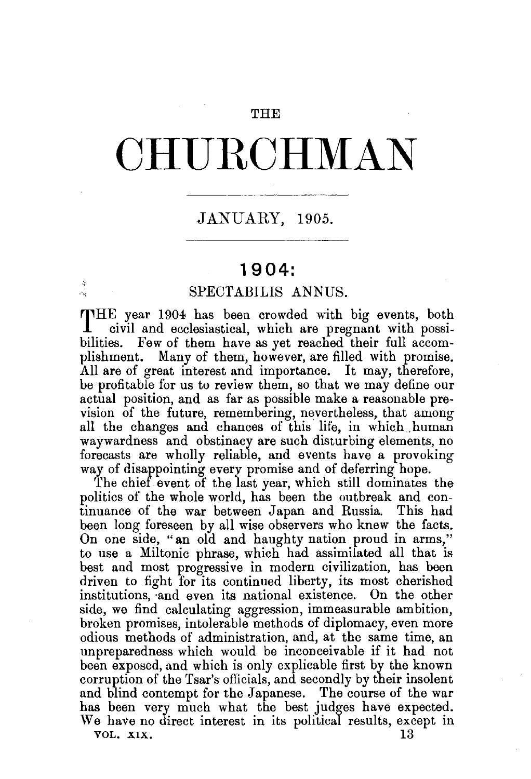### **THE**

# **CHURCHMAN**

## JANUARY, 1905.

## **1904:**

#### SPECTABILIS ANNUS.

THE year 1904 has been crowded with big events, both civil and ecclesiastical which are pregnant with possicivil and ecclesiastical, which are pregnant with possibilities. Few of them have as yet reached their full accomplishment. Many of them, however, are filled with promise. All are of great interest and importance. It may, therefore, be profitable for us to review them, so that we may define our actual position, and as far as possible make a reasonable prevision of the future, remembering, nevertheless, that among all the changes and chances of this life, in which human waywardness and obstinacy are such disturbing elements, no forecasts are wholly reliable, and events have a provoking way of disappointing every promise and of deferring hope.

The chief event of the last year, which still dominates the politics of the whole world, has been the outbreak and continuance of the war between Japan and Russia. This had been long foreseen by all wise observers who knew the facts. On one side, "an old and haughty nation proud in arms," to use a Miltonic phrase, which had assimilated all that is best and most progressive in modern civilization, has been driven to fight for its continued liberty, its most cherished institutions, and even its national existence. On the other side, we find calculating aggression, immeasurable ambition, broken promises, intolerable methods of diplomacy, even more odious methods of administration, and, at the same time, an unpreparedness which would be inconceivable if it had not been exposed, and which is only explicable first by the known corruption of the Tsar's officials, and secondly by their insolent and blind contempt for the Japanese. The course of the war has been very much what the best judges have expected. We have no direct interest in its political results, except in VOL. XIX.  $13$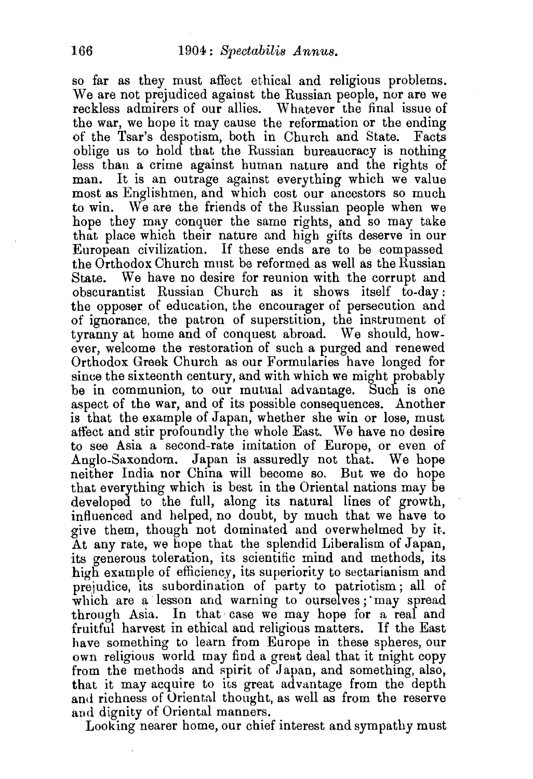so far as they must affect ethical and religious problems. We are not prejudiced against the Russian people, nor are we reckless admirers of our allies. Whatever the final issue of the war, we hope it may cause the reformation or the ending of the Tsar's despotism, both in Church and State. Facts oblige us to hold that the Russian bureaucracy is nothing less than a crime against human nature and the rights of man. It is an outrage against everything which we value most as Englishmen, and which cost our ancestors so much to win. We are the friends of the Russian people when we hope they may conquer the same rights, and so may take that place which their nature and high gifts deserve in our European civilization. If these ends are to be compassed the Orthodox Church must be reformed as well as the Russian We have no desire for reunion with the corrupt and obscurantist Russian Church as it shows itself to-day: the opposer of education, the encourager of persecution and of ignorance, the patron of superstition, the instrument of tyranny at home and of conquest abroad. We should, however, welcome the restoration of such a purged and renewed Orthodox Greek Church as our Formularies have longed for since the sixteenth century, and with which we might probably be in communion, to our mutual advantage. Such is one aspect of the war, and of its possible consequences. Another is that the example of Japan, whether she win or lose, must affect and stir profoundly the whole East. We have no desire to see Asia a second-rate imitation of Europe, or even of Anglo-Saxondom. Japan is assuredly not that. We hope neither India nor China will become so. But we do hope that everything which is best in the Oriental nations may be developed to the full, along its natural lines of growth, influenced and helped, no doubt, by much that we have to give them, though not dominated and overwhelmed by it-. At any rate, we hope that the splendid Liberalism of Japan, its generous toleration, its scientific mind and methods, its high example of efficiency, its superiority to sectarianism and prejudice, its subordination of party to patriotism; all of which are a lesson and warning to ourselves; may spread through Asia. In that· case we may hope for a real and fruitful harvest in ethical and religious matters. If the East have something to learn from Europe in these spheres, our own religious world may find a great deal that it might copy from the methods and spirit of Japan, and something, also, that it may acquire to its great advantage from the depth and richness of Oriental thought, as well as from the reserve and dignity of Oriental manners.

Looking nearer home, our chief interest and sympathy must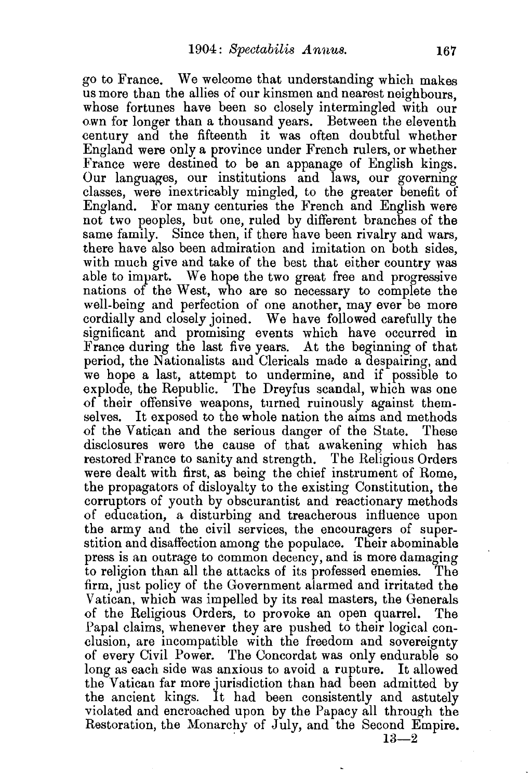go to France. We welcome that understanding which makes us more than the allies of our kinsmen and nearest neighbours, whose fortunes have been so closely intermingled with our own for longer than a thousand years. Between the eleventh century and the fifteenth it was often doubtful whether England were only a province under French rulers, or whether France were destined to be an appanage of English kings. Our languages, our institutions and laws, our governing classes, were inextricably mingled, to the greater benefit of England. For many centuries the French and English were not two peoples, but one, ruled by different branches of the same family. Since then, if there have been rivalry and wars, there have also been admiration and imitation on both sides, with much give and take of the best that either country was able to impart. We hope the two great free and progressive nations of the West, who are so necessary to complete the well-being and perfection of one another, may ever be more cordially and closely joined. We have followed carefully the significant and promising events which have occurred in France during the last five years. At the beginning of that period, the Nationalists and Clericals made a despairing, and we hope a last, attempt to undermine, and if possible to explode, the Republic. The Dreyfus scandal, which was one of their offensive weapons, turned ruinously against themselves. It exposed to the whole nation the aims and methods of the Vatican and the serious danger of the State. These disclosures were the cause of that awakening which has restored France to sanity and strength. The Religious Orders were dealt with first, as being the chief instrument of Rome, the propagators of disloyalty to the existing Constitution, the corruptors of youth by obscurantist and reactionary methods of education, a disturbing and treacherous influence upon the army and the civil services, the encouragers of superstition and disaffection among the populace. Their abominable press is an outrage to common decency, and is more damaging to religion than all the attacks of its professed enemies. The firm, just policy of the Government alarmed and irritated the Vatican, which was impelled by its real masters, the Generals of the Religious Orders, to provoke an open quarrel. The Papal claims, whenever they are pushed to their logical conclusion, are incompatible with the freedom and sovereignty of every Civil Power. The Concordat was only endurable so long as each side was anxious to avoid a rupture. It allowed the Vatican far more jurisdiction than had been admitted by the ancient kings. It had been consistently and astutely violated and encroached upon by the Papacy all through the Restoration, the Monarchy of July, and the Second Empire.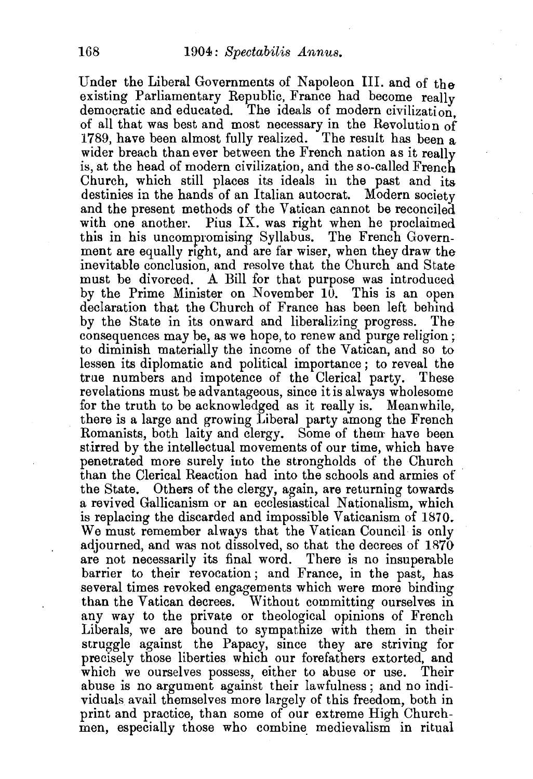Under the Liberal Governments of Napoleon III. and of the existing Parliamentary Republic, France had become really democratic and educated. The ideals of modern civilization. of all that was best and most necessary in the Revolution of 1789, have been almost fully realized. The result has been a wider breach than ever between the French nation as it really is, at the head of modern civilization, and the so-called French Church, which still places its ideals in the past and its destinies in the hands of an Italian autocrat. Modern society and the present methods of the Vatican cannot be reconciled with one another. Pius IX. was right when he proclaimed this in his uncompromising Syllabus. The French Government are equally right, and are far wiser, when they draw the inevitable conclusion, and resolve that the Church and State must be divorced. A Bill for that purpose was introduced by the Prime Minister on November 10. This is an open declaration that the Church of France has been left behind by the State in its onward and liberalizing progress. The consequences may be, as we hope, to renew and purge religion ; to diminish materially the income of the Vatican, and so to lessen its diplomatic and political importance ; to reveal the true numbers and impotence of the Clerical party. These revelations must be advantageous, since it is always wholesome for the truth to be acknowledged as it really is. Meanwhile, there is a large and growing Liberal party among the French Romanists, both laity and clergy. Some of them have been stirred by the intellectual movements of our time, which have penetrated more surely into the strongholds of the Church than the Clerical Reaction had into the schools and armies of the State. Others of the clergy, again, are returning towards a revived Gallicanism or an ecclesiastical Nationalism, which is replacing the discarded and impossible Vaticanism of 1870. We must remember always that the Vatican Council is only adjourned, and was not dissolved, so that the decrees of 1870 are not necessarily its final word. There is no insuperable barrier to their revocation ; and France, in the past, has several times revoked engagements which were more binding than the Vatican decrees. Without committing ourselves in any way to the private or theological opinions of French Liberals, we are bound to sympathize with them in their struggle against the Papacy, since they are striving for precisely those liberties which our forefathers extorted, and which we ourselves possess, either to abuse or use. Their abuse is no argument against their lawfulness; and no individuals avail themselves more largely of this freedom, both in print and practice, than some of our extreme High Churchmen, especially those who combine medievalism in ritual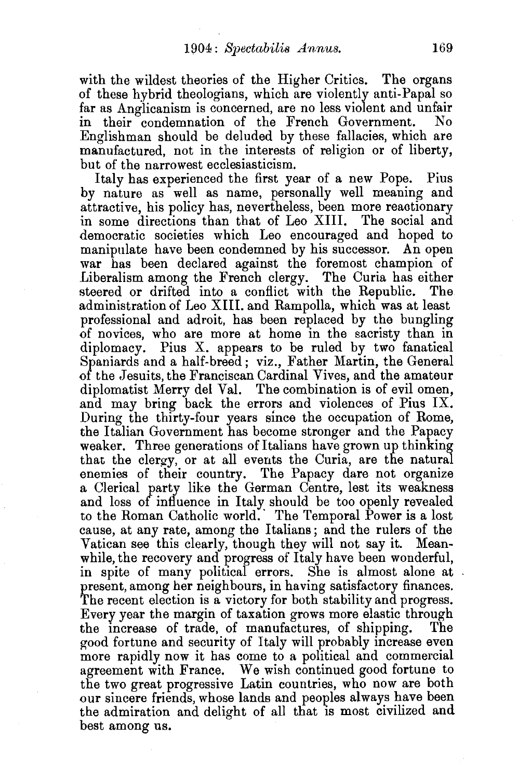with the wildest theories of the Higher Critics. The organs of these hybrid theologians, which are violently anti-Papal so far as Anglicanism is concerned, are no less violent and unfair in their condemnation of the French Government. Englishman should be deluded by these fallacies, which are manufactured, not in the interests of religion or of liberty, but of the narrowest ecclesiasticism.

Italy has experienced the first year of a new Pope. Pius by nature as well as name, personally well meaning and attractive, his policy has, nevertheless, been more reaotionary in some directions than that of Leo XIII. The social and democratic societies which Leo encouraged and hoped to manipulate have been condemned by his successor. An open war has been declared against the foremost champion of Liberalism among the French clergy. The Curia has either steered or drifted into a conflict with the Republic. The administration of Leo XIII. and Rampolla, which was at least professional and adroit, has been replaced by the bungling of novices, who are more at home in the sacristy than in diplomacy. Pius X. appears to be ruled by two fanatical Spaniards and a half-breed; viz., Father Martin, the General of the Jesuits, the Franciscan Cardinal Vives, and the amateur diplomatist Merry del Val. The combination is of evil omen, and may bring back the errors and violences of Pius IX. During the thirty-four years since the occupation of Rome, the Italian Government has become stronger and the Papacy weaker. Three generations of Italians have grown up thinking that the clergy, or at all events the Curia, are the natural enemies of their country. The Papacy dare not organize a Clerical party like the German Centre, lest its weakness and loss of influence in Italy should be too openly revealed to the Roman Catholic world. The Temporal Power is a lost cause, at any rate, among the Italians; and the rulers of the Vatican see this clearly, though they will not say it. Meanwhile, the recovery and progress of Italy have been wonderful, in spite of many political errors. She is almost alone at present, among her neighbours, in having satisfactory finances. The recent election is a victory for both stability and progress. Every year the margin of taxation grows more elastic through the increase of trade, of manufactures, of shipping. The good fortune and security of Italy will probably increase even more rapidly now it has come to a political and commercial agreement with France. We wish continued good fortune to the two great progressive Latin countries, who now are both our sincere friends, whose lands and peoples always have been the admiration and delight of all that is most civilized and best among us.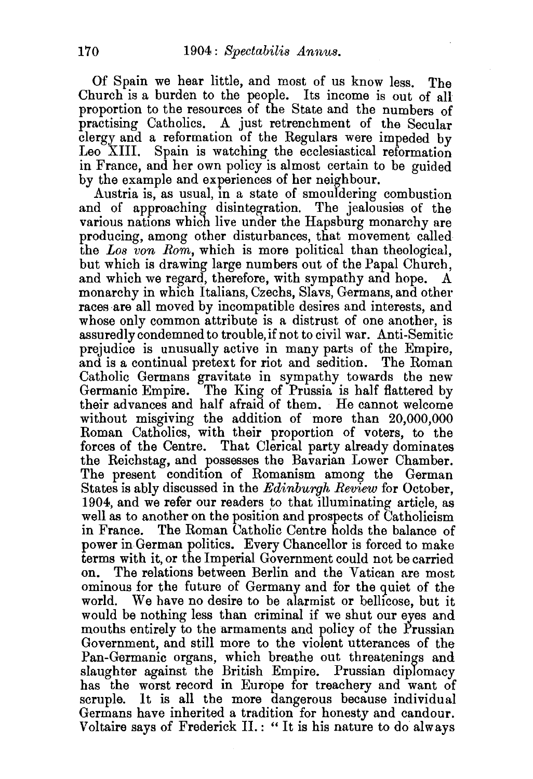Of Spain we hear little, and most of us know less. The Church is a burden to the people. Its income is out of all proportion to the resources of the State and the numbers of practising Catholics. A just retrenchment of the Secular clergy and a reformation of the Regulars were impeded by Leo XIII. Spain is watching the ecclesiastical reformation in France, and her own policy is almost certain to be guided by the example and experiences of her neighbour.

Austria is, as usual, in a state of smouldering combustion and of approaching disintegration. The jealousies of the various nations which live under the Hapsburg monarchy are producing, among other disturbances, that movement called the *Los von Rom,* which is more political than theological, but which is drawing large numbers out of the Papal Church, and which we regard, therefore, with sympathy and hope. A monarchy in which Italians, Czechs, Slavs, Germans, and other races are all moved by incompatible desires and interests, and whose only common attribute is a distrust of one another, is assuredly condemned to trouble, if not to civil war. Anti-Semitic prejudice is unusually active in many parts of the Empire, and is a continual pretext for riot and sedition. The Roman Catholic Germans gravitate in sympathy towards the new Germanic Empire. The King of Prussia is half flattered by their advances and half afraid of them. He cannot welcome without misgiving the addition of more than 20,000,000 Roman Catholics, with their proportion of voters, to the forces of the Centre. That Clerical party already dominates the Reichstag, and possesses the Bavarian Lower Chamber. The present condition of Romanism among the German States is ably discussed in the *Edinburgh Review* for October, 1904, and we refer our readers to that illuminating article, as well as to another on the position and prospects of Catholicism<br>in France. The Roman Catholic Centre holds the balance of The Roman Catholic Centre holds the balance of power in German politics. Every Chancellor is forced to make terms with it, or the Imperial Government could not be carried<br>on. The relations between Berlin and the Vatican are most. The relations between Berlin and the Vatican are most ominous for the future of Germany and for the guiet of the world. We have no desire to be alarmist or bellicose, but it would be nothing less than criminal if we shut our eyes and mouths entirely to the armaments and policy of the Prussian Government, and still more to the violent utterances of the Pan-Germanic organs, which breathe out threatenings and slaughter against the British Empire. Prussian diplomacy has the worst record in Europe for treachery and want of scruple. It is all the more dangerous because individual Germans have inherited a tradition for honesty and candour. Voltaire says of Frederick II.:" It is his nature to do always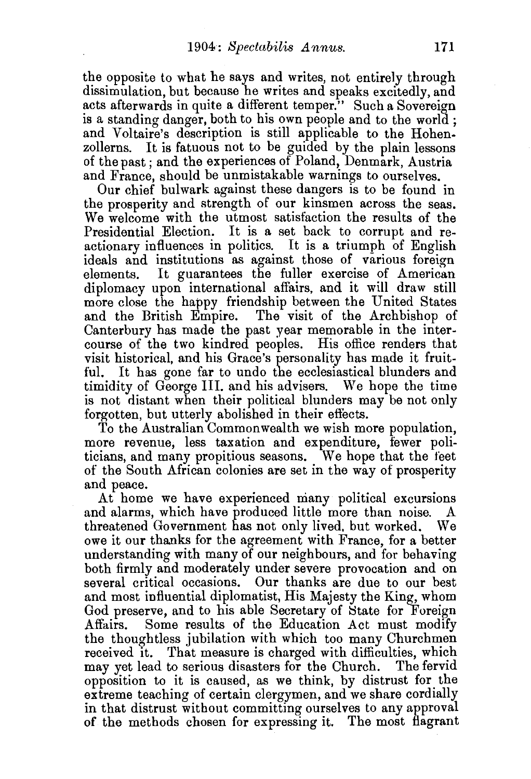the opposite to what he says and writes, not entirely through dissimulation, but because he writes and speaks excitedly, and acts afterwards in quite a different temper." Such a Sovereign is a standing danger, both to his own people and to the world ; and Voltaire's description is still applicable to the Hohenzollerns. It is fatuous not to be guided by the plain lessons of the past ; and the experiences of Poland, Denmark, Austria and France, should be unmistakable warnings to ourselves.

Our chief bulwark against these dangers is to be found in the prosperity and strength of our kinsmen across the seas. We welcome with the utmost satisfaction the results of the Presidential Election. It is a set back to corrupt and reactionary influences in politics. It is a triumph of English ideals and institutions as against those of various foreign elements. It guarantees the fuller exercise of American diplomacy upon international affairs, and it will draw still more close the happy friendship between the United States and the British Empire. The visit of the Archbishop of Canterbury has made the past year memorable in the intercourse of the two kindred peoples. His office renders that visit historical, and his Grace's personality has made it fruitful. It has gone far to undo the ecclesiastical blunders and timidity of George III. and his advisers. \Ve hope the time is not distant when their political blunders may be not only forgotten, but utterly abolished in their effects.

To the Australian Commonwealth we wish more population, more revenue, less taxation and expenditure, fewer politicians, and many propitious seasons. We hope that the feet of the South African colonies are set in the way of prosperity and peace.

At home we have experienced many political excursions and alarms, which have produced little more than noise. A threatened Government has not only lived, but worked. We owe it our thanks for the agreement with France, for a better understanding with many of our neighbours, and for behaving both firmly and moderately under severe provocation and on several critical occasions. Our thanks are due to our best and most influential diplomatist, His Majesty the King, whom God preserve, and to his able Secretary of State for Foreign Affairs. Some results of the Education Act must modify the thoughtless jubilation with which too many Churchmen received it. That measure is charged with difficulties, which may yet lead to serious disasters for the Church. The fervid opposition to it is caused, as we think, by distrust for the extreme teaching of certain clergymen, and we share cordially in that distrust without committing ourselves to any approval of the methods chosen for expressing it. The most flagrant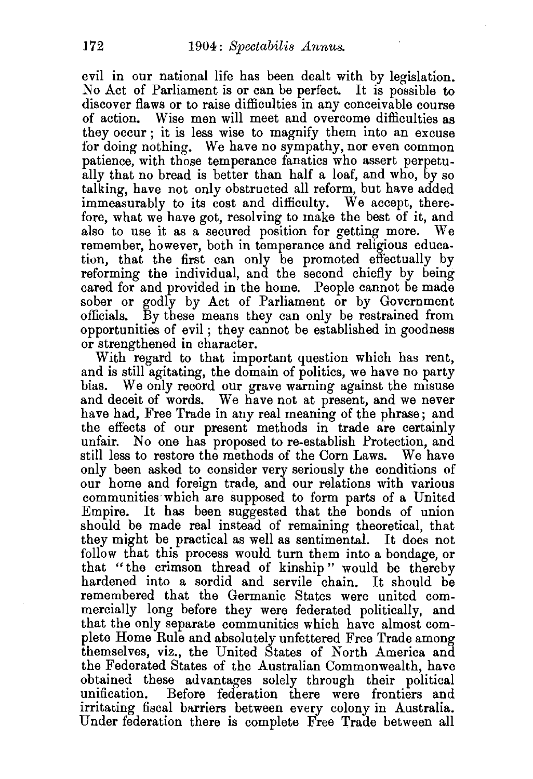evil in our national life has been dealt with by legislation. No Act of Parliament is or can be perfect. It is possible to discover flaws or to raise difficulties in any conceivable course of action. Wise men will meet and overcome difficulties as they occur ; it is less wise to magnify them into an excuse for doing nothing. We have no sympathy, nor even common patience, with those temperance fanatics who assert perpetually that no bread is better than half a loaf, and who, by so talking, have not only obstructed all reform, but have added immeasurably to its cost and difficulty. We accept, therefore, what we have got, resolving to make the best of it, and also to use it as a secured position for getting more. We remember, however, both in temperance and religious education, that the first can only be promoted effectually by reforming the individual, and the second chiefly by being cared for and provided in the home. People cannot be made sober or godly by Act of Parliament or by Government officials. By these means they can only be restrained from By these means they can only be restrained from opportunities of evil ; they cannot be established in goodness or strengthened in character.

With regard to that important question which has rent, and is still agitating, the domain of politics, we have no party bias. We only record our grave warning against the misuse and deceit of words. We have not at present, and we never have had, Free Trade in any real meaning of the phrase; and the effects of our present methods in trade are certainly unfair. No one has proposed to re-establish Protection, and still less to restore the methods of the Corn Laws. We have only been asked to consider very seriously the conditions of our home and foreign trade, and our relations with various communities which are supposed to form parts of a United Empire. It has been suggested that the bonds of union should be made real instead of remaining theoretical, that they might be practical as well as sentimental. It does not follow that this process would turn them into a bondage, or that "the crimson thread of kinship " would be thereby hardened into a sordid and servile chain. It should be remembered that the Germanic States were united commercially long before they were federated politically, and that the only separate communities which have almost complete Home Rule and absolutely unfettered Free Trade among themselves, viz., the United States of North America and the Federated States of the Australian Commonwealth, have obtained these advantages solely through their political unification. Before federation there were frontiers and irritating fiscal barriers between every colony in Australia. Under federation there is complete Free Trade between all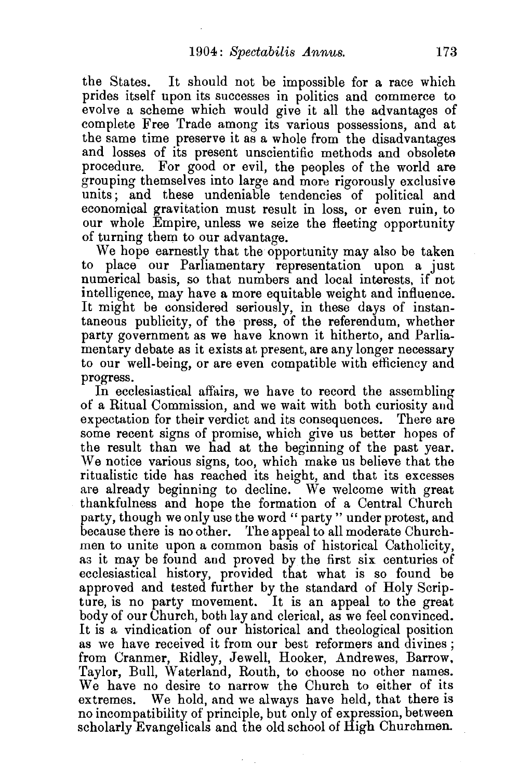the States. It should not be impossible for a race which prides itself upon its successes in politics and commerce to evolve a scheme which would give it all the advantages of complete Free Trade among its various possessions, and at the same time preserve it as a whole from the disadvantages and losses of its present unscientific methods and obsolete procedure. For good or evil, the peoples of the world are grouping themselves into large and more rigorously exclusive units; and these undeniable tendencies of political and economical gravitation must result in loss, or even ruin, to our whole Empire, unless we seize the fleeting opportunity of turning them to our advantage.

We hope earnestly that the opportunity may also be taken to place our Parliamentary representation upon a just numerical basis, so that numbers and local interests, if not intelligence, may have a more equitable weight and influence. It might be considered seriously, in these days of instantaneous publicity, of the press, of the referendum, whether party government as we have known it hitherto, and Parliamentary debate as it exists at present, are any longer necessary to our well-being, or are even compatible with efficiency and progress.

In ecclesiastical affairs, we have to record the assembling of a Ritual Commission, and we wait with both curiosity and expectation for their verdict and its consequences. There are some recent signs of promise, which give us better hopes of the result than we had at the beginning of the past year. We notice various signs, too, which make us believe that the ritualistic tide has reached its height, and that its excesses are already beginning to decline. We welcome with great thankfulness and hope the formation of a Central Church party, though we only use the word "party" under protest, and because there is no other. The appeal to all moderate Churchmen to unite upon a common basis of historical Catholicity, as it may be found and proved by the first six centuries of ecclesiastical history, provided that what is so found be approved and tested further by the standard of Holy Scripture, is no party movement. It is an appeal to the great body of our Church, both lay and clerical, as we feel convinced. It is a vindication of our historical and theological position as we have received it from our best reformers and divines; from Cranmer, Ridley, Jewell, Hooker, Andrewes, Barrow, Taylor, Bull, Waterland, Routh, to choose no other names. We have no desire to narrow the Church to either of its extremes. We hold, and we always have held, that there is no incompatibility of principle, but only of expression, between scholarly Evangelicals and the old school of High Churchmen.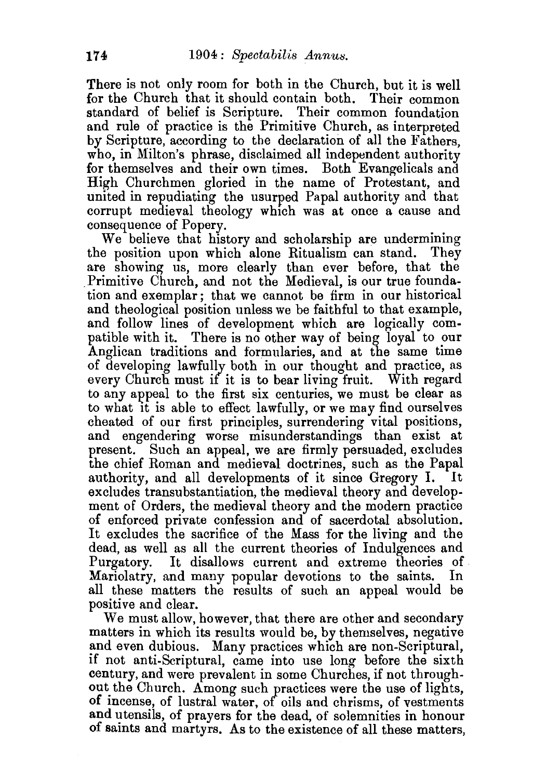There is not only room for both in the Church, but it is well for the Church that it should contain both. Their common standard of belief is Scripture. Their common foundation and rule of practice is the Primitive Church, as interpreted by Scripture, according to the declaration of all the Fathers. who, in Milton's phrase, disclaimed all independent authority for themselves and their own times. Both Evangelicals and High Churchmen gloried in the name of Protestant, and united in repudiating the usurped Papal authority and that corrupt medieval theology which was at once a cause and consequence of Popery.

We believe that history and scholarship are undermining the position upon which alone Ritualism can stand. They are showing us, more clearly than ever before, that the Primitive Church, and not the Medieval, is our true foundation and exemplar; that we cannot be firm in our historical and theological position unless we be faithful to that example, and follow lines of development which are logically compatible with it. There is no other way of being loyal to our Anglican traditions and formularies, and at the same time of developing lawfully both in our thought and practice, as every Church must if it is to bear living fruit. With regard to any appeal to the first six centuries, we must be clear as to what it is able to eflect lawfully, or we may find ourselves cheated of our first principles, surrendering vital positions, and engendering worse misunderstandings than exist at present. Such an appeal, we are firmly persuaded, excludes the chief Roman and medieval doctrines, such as the Papal authority, and all developments of it since Gregory I. excludes transubstantiation, the medieval theory and development of Orders, the medieval theory and the modern practice of enforced private confession and of sacerdotal absolution. It excludes the sacrifice of the Mass for the living and the dead, as well as all the current theories of Indulgences and Purgatory. It disallows current and extreme theories of Mariolatry, and many popular devotions to the saints. all these matters the results of such an appeal would be positive and clear.

We must allow, however, that there are other and secondary matters in which its results would be, by themselves, negative and even dubious. Many practices which are non-Scriptural, if not anti-Scriptural, came into use long before the sixth century, and were prevalent in some Churches, if not throughout the Church. Among such practices were the use of lights, of incense, of lustral water, of oils and chrisms, of vestments and utensils, of prayers for the dead, of solemnities in honour of saints and martyrs. As to the existence of all these matters,